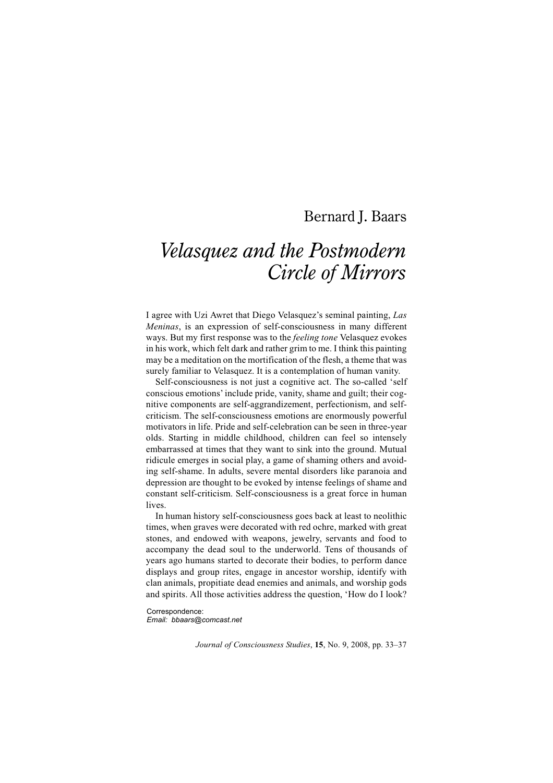# Bernard J. Baars

# *Velasquez and the Postmodern Circle of Mirrors*

I agree with Uzi Awret that Diego Velasquez's seminal painting, *Las Meninas*, is an expression of self-consciousness in many different ways. But my first response was to the *feeling tone* Velasquez evokes in his work, which felt dark and rather grim to me. I think this painting may be a meditation on the mortification of the flesh, a theme that was surely familiar to Velasquez. It is a contemplation of human vanity.

Self-consciousness is not just a cognitive act. The so-called 'self conscious emotions' include pride, vanity, shame and guilt; their cognitive components are self-aggrandizement, perfectionism, and selfcriticism. The self-consciousness emotions are enormously powerful motivators in life. Pride and self-celebration can be seen in three-year olds. Starting in middle childhood, children can feel so intensely embarrassed at times that they want to sink into the ground. Mutual ridicule emerges in social play, a game of shaming others and avoiding self-shame. In adults, severe mental disorders like paranoia and depression are thought to be evoked by intense feelings of shame and constant self-criticism. Self-consciousness is a great force in human lives.

In human history self-consciousness goes back at least to neolithic times, when graves were decorated with red ochre, marked with great stones, and endowed with weapons, jewelry, servants and food to accompany the dead soul to the underworld. Tens of thousands of years ago humans started to decorate their bodies, to perform dance displays and group rites, engage in ancestor worship, identify with clan animals, propitiate dead enemies and animals, and worship gods and spirits. All those activities address the question, 'How do I look?

Correspondence: *Email: bbaars@comcast.net*

*Journal of Consciousness Studies*, **15**, No. 9, 2008, pp. 33–37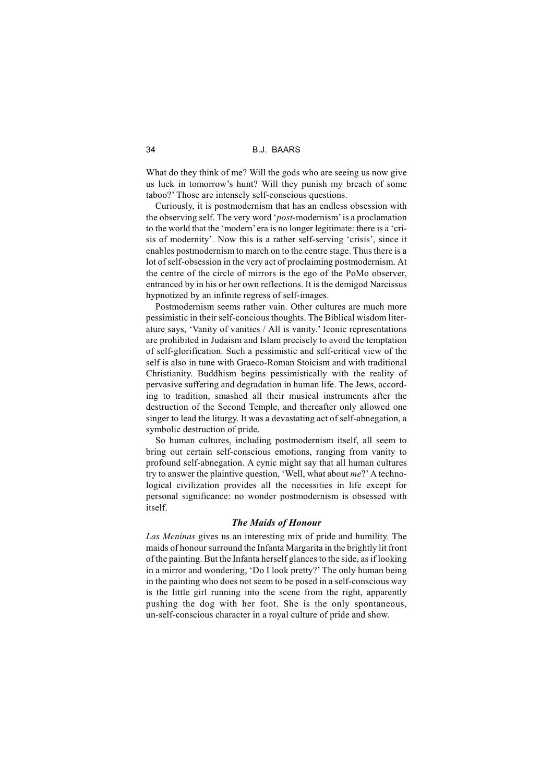34 B.J. BAARS

What do they think of me? Will the gods who are seeing us now give us luck in tomorrow's hunt? Will they punish my breach of some taboo?' Those are intensely self-conscious questions.

Curiously, it is postmodernism that has an endless obsession with the observing self. The very word '*post*-modernism' is a proclamation to the world that the 'modern' era is no longer legitimate: there is a 'crisis of modernity'. Now this is a rather self-serving 'crisis', since it enables postmodernism to march on to the centre stage. Thus there is a lot of self-obsession in the very act of proclaiming postmodernism. At the centre of the circle of mirrors is the ego of the PoMo observer, entranced by in his or her own reflections. It is the demigod Narcissus hypnotized by an infinite regress of self-images.

Postmodernism seems rather vain. Other cultures are much more pessimistic in their self-concious thoughts. The Biblical wisdom literature says, 'Vanity of vanities / All is vanity.' Iconic representations are prohibited in Judaism and Islam precisely to avoid the temptation of self-glorification. Such a pessimistic and self-critical view of the self is also in tune with Graeco-Roman Stoicism and with traditional Christianity. Buddhism begins pessimistically with the reality of pervasive suffering and degradation in human life. The Jews, according to tradition, smashed all their musical instruments after the destruction of the Second Temple, and thereafter only allowed one singer to lead the liturgy. It was a devastating act of self-abnegation, a symbolic destruction of pride.

So human cultures, including postmodernism itself, all seem to bring out certain self-conscious emotions, ranging from vanity to profound self-abnegation. A cynic might say that all human cultures try to answer the plaintive question, 'Well, what about *me*?' A technological civilization provides all the necessities in life except for personal significance: no wonder postmodernism is obsessed with itself.

## *The Maids of Honour*

*Las Meninas* gives us an interesting mix of pride and humility. The maids of honour surround the Infanta Margarita in the brightly lit front of the painting. But the Infanta herself glances to the side, as if looking in a mirror and wondering, 'Do I look pretty?' The only human being in the painting who does not seem to be posed in a self-conscious way is the little girl running into the scene from the right, apparently pushing the dog with her foot. She is the only spontaneous, un-self-conscious character in a royal culture of pride and show.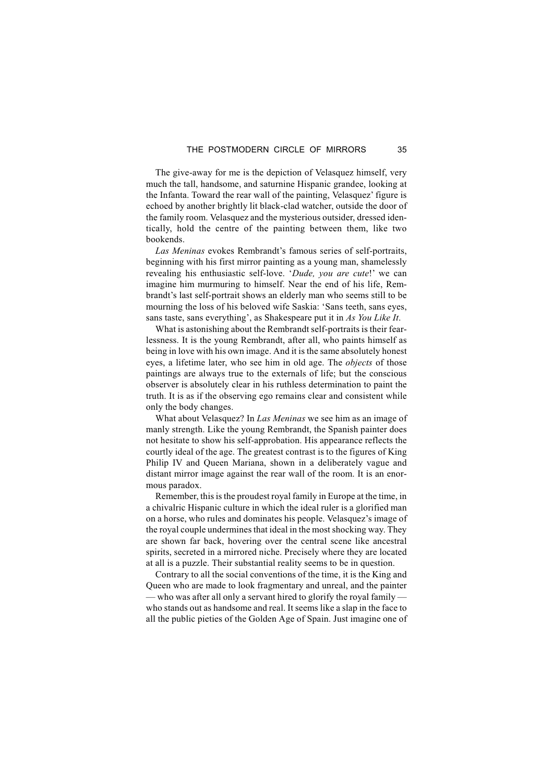The give-away for me is the depiction of Velasquez himself, very much the tall, handsome, and saturnine Hispanic grandee, looking at the Infanta. Toward the rear wall of the painting, Velasquez' figure is echoed by another brightly lit black-clad watcher, outside the door of the family room. Velasquez and the mysterious outsider, dressed identically, hold the centre of the painting between them, like two bookends.

*Las Meninas* evokes Rembrandt's famous series of self-portraits, beginning with his first mirror painting as a young man, shamelessly revealing his enthusiastic self-love. '*Dude, you are cute*!' we can imagine him murmuring to himself. Near the end of his life, Rembrandt's last self-portrait shows an elderly man who seems still to be mourning the loss of his beloved wife Saskia: 'Sans teeth, sans eyes, sans taste, sans everything', as Shakespeare put it in *As You Like It*.

What is astonishing about the Rembrandt self-portraits is their fearlessness. It is the young Rembrandt, after all, who paints himself as being in love with his own image. And it is the same absolutely honest eyes, a lifetime later, who see him in old age. The *objects* of those paintings are always true to the externals of life; but the conscious observer is absolutely clear in his ruthless determination to paint the truth. It is as if the observing ego remains clear and consistent while only the body changes.

What about Velasquez? In *Las Meninas* we see him as an image of manly strength. Like the young Rembrandt, the Spanish painter does not hesitate to show his self-approbation. His appearance reflects the courtly ideal of the age. The greatest contrast is to the figures of King Philip IV and Queen Mariana, shown in a deliberately vague and distant mirror image against the rear wall of the room. It is an enormous paradox.

Remember, this is the proudest royal family in Europe at the time, in a chivalric Hispanic culture in which the ideal ruler is a glorified man on a horse, who rules and dominates his people. Velasquez's image of the royal couple undermines that ideal in the most shocking way. They are shown far back, hovering over the central scene like ancestral spirits, secreted in a mirrored niche. Precisely where they are located at all is a puzzle. Their substantial reality seems to be in question.

Contrary to all the social conventions of the time, it is the King and Queen who are made to look fragmentary and unreal, and the painter — who was after all only a servant hired to glorify the royal family who stands out as handsome and real. It seems like a slap in the face to all the public pieties of the Golden Age of Spain. Just imagine one of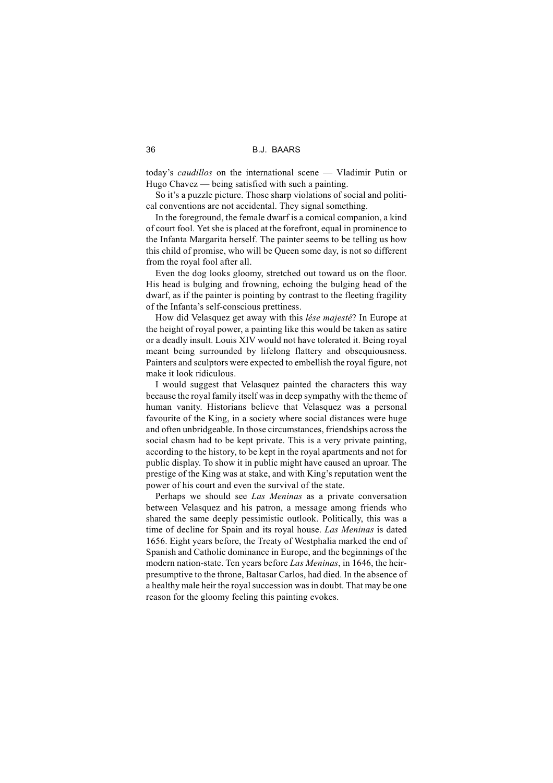today's *caudillos* on the international scene — Vladimir Putin or Hugo Chavez — being satisfied with such a painting.

So it's a puzzle picture. Those sharp violations of social and political conventions are not accidental. They signal something.

In the foreground, the female dwarf is a comical companion, a kind of court fool. Yet she is placed at the forefront, equal in prominence to the Infanta Margarita herself. The painter seems to be telling us how this child of promise, who will be Queen some day, is not so different from the royal fool after all.

Even the dog looks gloomy, stretched out toward us on the floor. His head is bulging and frowning, echoing the bulging head of the dwarf, as if the painter is pointing by contrast to the fleeting fragility of the Infanta's self-conscious prettiness.

How did Velasquez get away with this *lése majesté*? In Europe at the height of royal power, a painting like this would be taken as satire or a deadly insult. Louis XIV would not have tolerated it. Being royal meant being surrounded by lifelong flattery and obsequiousness. Painters and sculptors were expected to embellish the royal figure, not make it look ridiculous.

I would suggest that Velasquez painted the characters this way because the royal family itself was in deep sympathy with the theme of human vanity. Historians believe that Velasquez was a personal favourite of the King, in a society where social distances were huge and often unbridgeable. In those circumstances, friendships across the social chasm had to be kept private. This is a very private painting, according to the history, to be kept in the royal apartments and not for public display. To show it in public might have caused an uproar. The prestige of the King was at stake, and with King's reputation went the power of his court and even the survival of the state.

Perhaps we should see *Las Meninas* as a private conversation between Velasquez and his patron, a message among friends who shared the same deeply pessimistic outlook. Politically, this was a time of decline for Spain and its royal house. *Las Meninas* is dated 1656. Eight years before, the Treaty of Westphalia marked the end of Spanish and Catholic dominance in Europe, and the beginnings of the modern nation-state. Ten years before *Las Meninas*, in 1646, the heirpresumptive to the throne, Baltasar Carlos, had died. In the absence of a healthy male heir the royal succession was in doubt. That may be one reason for the gloomy feeling this painting evokes.